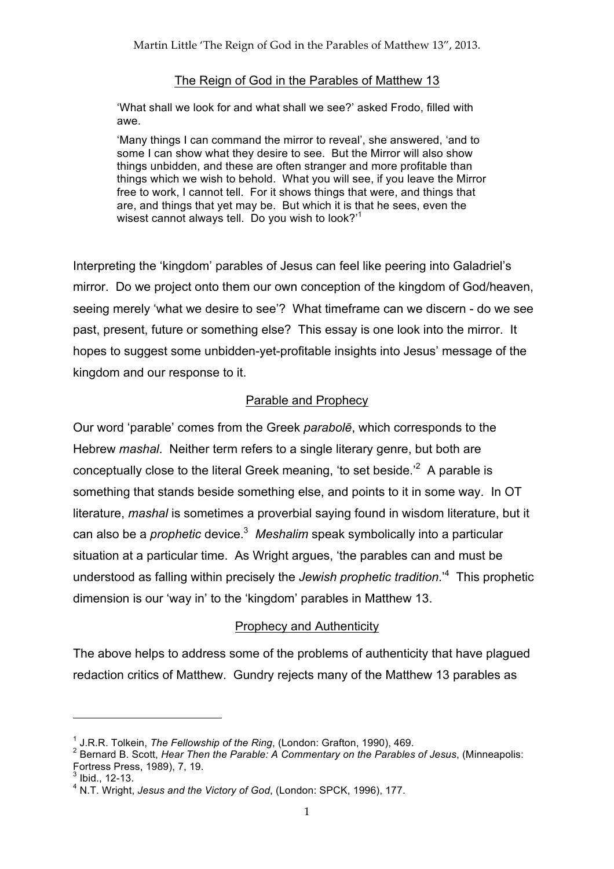#### The Reign of God in the Parables of Matthew 13

'What shall we look for and what shall we see?' asked Frodo, filled with awe.

'Many things I can command the mirror to reveal', she answered, 'and to some I can show what they desire to see. But the Mirror will also show things unbidden, and these are often stranger and more profitable than things which we wish to behold. What you will see, if you leave the Mirror free to work, I cannot tell. For it shows things that were, and things that are, and things that yet may be. But which it is that he sees, even the wisest cannot always tell. Do you wish to look?'1

Interpreting the 'kingdom' parables of Jesus can feel like peering into Galadriel's mirror. Do we project onto them our own conception of the kingdom of God/heaven, seeing merely 'what we desire to see'? What timeframe can we discern - do we see past, present, future or something else? This essay is one look into the mirror. It hopes to suggest some unbidden-yet-profitable insights into Jesus' message of the kingdom and our response to it.

### Parable and Prophecy

Our word 'parable' comes from the Greek *parabolē*, which corresponds to the Hebrew *mashal*. Neither term refers to a single literary genre, but both are conceptually close to the literal Greek meaning, 'to set beside. $2^2$  A parable is something that stands beside something else, and points to it in some way. In OT literature, *mashal* is sometimes a proverbial saying found in wisdom literature, but it can also be a *prophetic* device.3 *Meshalim* speak symbolically into a particular situation at a particular time. As Wright argues, 'the parables can and must be understood as falling within precisely the *Jewish prophetic tradition*.'<sup>4</sup> This prophetic dimension is our 'way in' to the 'kingdom' parables in Matthew 13.

## Prophecy and Authenticity

The above helps to address some of the problems of authenticity that have plagued redaction critics of Matthew. Gundry rejects many of the Matthew 13 parables as

 $\overline{a}$ 

<sup>&</sup>lt;sup>1</sup> J.R.R. Tolkein, *The Fellowship of the Ring*, (London: Grafton, 1990), 469.<br><sup>2</sup> Bernard B. Scott, *Hear Then the Parable: A Commentary on the Parables of Jesus*, (Minneapolis: Fortress Press, 1989), 7, 19.

 $3$  Ibid., 12-13.

<sup>4</sup> N.T. Wright, *Jesus and the Victory of God*, (London: SPCK, 1996), 177.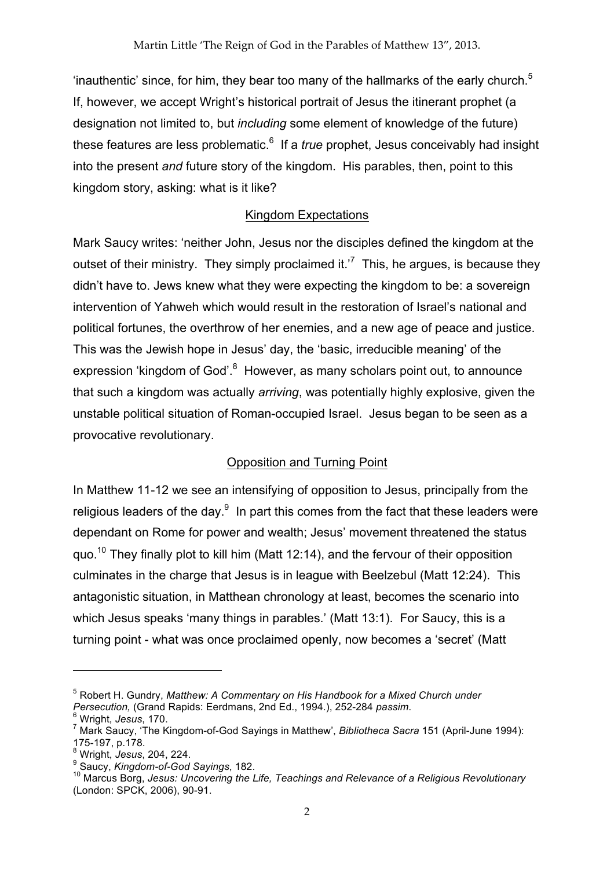'inauthentic' since, for him, they bear too many of the hallmarks of the early church.<sup>5</sup> If, however, we accept Wright's historical portrait of Jesus the itinerant prophet (a designation not limited to, but *including* some element of knowledge of the future) these features are less problematic.<sup>6</sup> If a *true* prophet, Jesus conceivably had insight into the present *and* future story of the kingdom. His parables, then, point to this kingdom story, asking: what is it like?

## Kingdom Expectations

Mark Saucy writes: 'neither John, Jesus nor the disciples defined the kingdom at the outset of their ministry. They simply proclaimed it.<sup>7</sup> This, he argues, is because they didn't have to. Jews knew what they were expecting the kingdom to be: a sovereign intervention of Yahweh which would result in the restoration of Israel's national and political fortunes, the overthrow of her enemies, and a new age of peace and justice. This was the Jewish hope in Jesus' day, the 'basic, irreducible meaning' of the expression 'kingdom of God'.<sup>8</sup> However, as many scholars point out, to announce that such a kingdom was actually *arriving*, was potentially highly explosive, given the unstable political situation of Roman-occupied Israel. Jesus began to be seen as a provocative revolutionary.

## Opposition and Turning Point

In Matthew 11-12 we see an intensifying of opposition to Jesus, principally from the religious leaders of the day. $9\,$  In part this comes from the fact that these leaders were dependant on Rome for power and wealth; Jesus' movement threatened the status quo.<sup>10</sup> They finally plot to kill him (Matt 12:14), and the fervour of their opposition culminates in the charge that Jesus is in league with Beelzebul (Matt 12:24). This antagonistic situation, in Matthean chronology at least, becomes the scenario into which Jesus speaks 'many things in parables.' (Matt 13:1). For Saucy, this is a turning point - what was once proclaimed openly, now becomes a 'secret' (Matt

 $\overline{a}$ 

<sup>5</sup> Robert H. Gundry, *Matthew: A Commentary on His Handbook for a Mixed Church under Persecution,* (Grand Rapids: Eerdmans, 2nd Ed., 1994.), 252-284 *passim*. 6 Wright, *Jesus*, 170.

<sup>7</sup> Mark Saucy, 'The Kingdom-of-God Sayings in Matthew', *Bibliotheca Sacra* 151 (April-June 1994):

<sup>175-197,</sup> p.178. <sup>8</sup> Wright, *Jesus*, 204, 224.

<sup>9</sup> Saucy, *Kingdom-of-God Sayings*, 182.

<sup>10</sup> Marcus Borg, *Jesus: Uncovering the Life, Teachings and Relevance of a Religious Revolutionary* (London: SPCK, 2006), 90-91.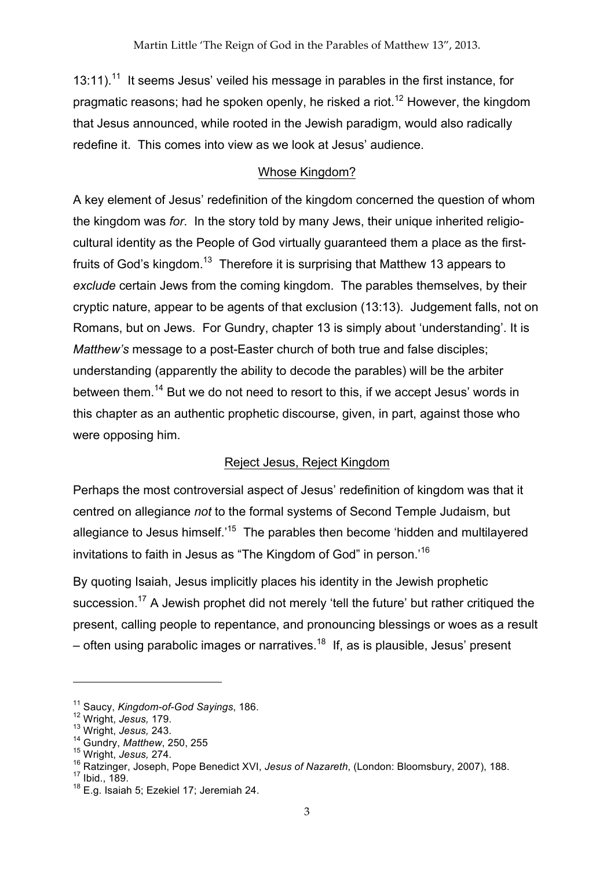13:11).<sup>11</sup> It seems Jesus' veiled his message in parables in the first instance, for pragmatic reasons; had he spoken openly, he risked a riot.<sup>12</sup> However, the kingdom that Jesus announced, while rooted in the Jewish paradigm, would also radically redefine it. This comes into view as we look at Jesus' audience.

# Whose Kingdom?

A key element of Jesus' redefinition of the kingdom concerned the question of whom the kingdom was *for*. In the story told by many Jews, their unique inherited religiocultural identity as the People of God virtually guaranteed them a place as the firstfruits of God's kingdom.<sup>13</sup> Therefore it is surprising that Matthew 13 appears to *exclude* certain Jews from the coming kingdom. The parables themselves, by their cryptic nature, appear to be agents of that exclusion (13:13). Judgement falls, not on Romans, but on Jews. For Gundry, chapter 13 is simply about 'understanding'. It is *Matthew's* message to a post-Easter church of both true and false disciples; understanding (apparently the ability to decode the parables) will be the arbiter between them.<sup>14</sup> But we do not need to resort to this, if we accept Jesus' words in this chapter as an authentic prophetic discourse, given, in part, against those who were opposing him.

# Reject Jesus, Reject Kingdom

Perhaps the most controversial aspect of Jesus' redefinition of kingdom was that it centred on allegiance *not* to the formal systems of Second Temple Judaism, but allegiance to Jesus himself.<sup>15</sup> The parables then become 'hidden and multilayered invitations to faith in Jesus as "The Kingdom of God" in person.'<sup>16</sup>

By quoting Isaiah, Jesus implicitly places his identity in the Jewish prophetic succession.<sup>17</sup> A Jewish prophet did not merely 'tell the future' but rather critiqued the present, calling people to repentance, and pronouncing blessings or woes as a result  $-$  often using parabolic images or narratives.<sup>18</sup> If, as is plausible, Jesus' present

<sup>11</sup> Saucy, *Kingdom-of-God Sayings*, 186.

<sup>12</sup> Wright, *Jesus,* 179.

<sup>13</sup> Wright, *Jesus,* 243.

<sup>14</sup> Gundry, *Matthew*, 250, 255

<sup>15</sup> Wright, *Jesus,* 274.

<sup>16</sup> Ratzinger, Joseph, Pope Benedict XVI, *Jesus of Nazareth*, (London: Bloomsbury, 2007), 188.<br><sup>17</sup> Ibid., 189.

<sup>&</sup>lt;sup>18</sup> E.g. Isaiah 5; Ezekiel 17; Jeremiah 24.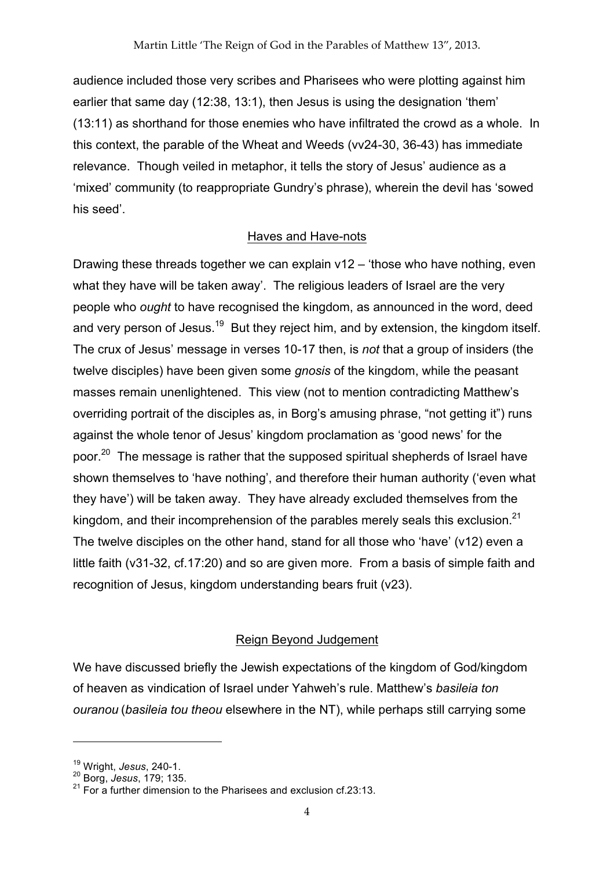audience included those very scribes and Pharisees who were plotting against him earlier that same day (12:38, 13:1), then Jesus is using the designation 'them' (13:11) as shorthand for those enemies who have infiltrated the crowd as a whole. In this context, the parable of the Wheat and Weeds (vv24-30, 36-43) has immediate relevance. Though veiled in metaphor, it tells the story of Jesus' audience as a 'mixed' community (to reappropriate Gundry's phrase), wherein the devil has 'sowed his seed'.

#### Haves and Have-nots

Drawing these threads together we can explain v12 – 'those who have nothing, even what they have will be taken away'. The religious leaders of Israel are the very people who *ought* to have recognised the kingdom, as announced in the word, deed and very person of Jesus.<sup>19</sup> But they reject him, and by extension, the kingdom itself. The crux of Jesus' message in verses 10-17 then, is *not* that a group of insiders (the twelve disciples) have been given some *gnosis* of the kingdom, while the peasant masses remain unenlightened. This view (not to mention contradicting Matthew's overriding portrait of the disciples as, in Borg's amusing phrase, "not getting it") runs against the whole tenor of Jesus' kingdom proclamation as 'good news' for the poor.<sup>20</sup> The message is rather that the supposed spiritual shepherds of Israel have shown themselves to 'have nothing', and therefore their human authority ('even what they have') will be taken away. They have already excluded themselves from the kingdom, and their incomprehension of the parables merely seals this exclusion.<sup>21</sup> The twelve disciples on the other hand, stand for all those who 'have' (v12) even a little faith (v31-32, cf.17:20) and so are given more. From a basis of simple faith and recognition of Jesus, kingdom understanding bears fruit (v23).

## Reign Beyond Judgement

We have discussed briefly the Jewish expectations of the kingdom of God/kingdom of heaven as vindication of Israel under Yahweh's rule. Matthew's *basileia ton ouranou* (*basileia tou theou* elsewhere in the NT), while perhaps still carrying some

<sup>19</sup> Wright, *Jesus*, 240-1.

<sup>20</sup> Borg, *Jesus*, 179; 135.

 $21$  For a further dimension to the Pharisees and exclusion cf.23:13.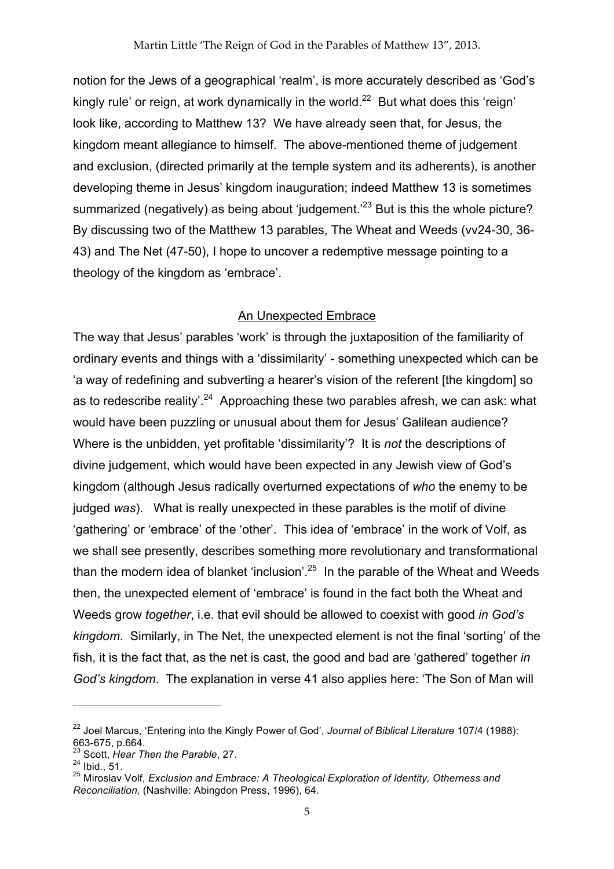notion for the Jews of a geographical 'realm', is more accurately described as 'God's kingly rule' or reign, at work dynamically in the world.<sup>22</sup> But what does this 'reign' look like, according to Matthew 13? We have already seen that, for Jesus, the kingdom meant allegiance to himself. The above-mentioned theme of judgement and exclusion, (directed primarily at the temple system and its adherents), is another developing theme in Jesus' kingdom inauguration; indeed Matthew 13 is sometimes summarized (negatively) as being about 'judgement.<sup>23</sup> But is this the whole picture? By discussing two of the Matthew 13 parables, The Wheat and Weeds (vv24-30, 36- 43) and The Net (47-50), I hope to uncover a redemptive message pointing to a theology of the kingdom as 'embrace'.

#### An Unexpected Embrace

The way that Jesus' parables 'work' is through the juxtaposition of the familiarity of ordinary events and things with a 'dissimilarity' - something unexpected which can be 'a way of redefining and subverting a hearer's vision of the referent [the kingdom] so as to redescribe reality<sup>'.24</sup> Approaching these two parables afresh, we can ask: what would have been puzzling or unusual about them for Jesus' Galilean audience? Where is the unbidden, yet profitable 'dissimilarity'? It is *not* the descriptions of divine judgement, which would have been expected in any Jewish view of God's kingdom (although Jesus radically overturned expectations of *who* the enemy to be judged *was*). What is really unexpected in these parables is the motif of divine 'gathering' or 'embrace' of the 'other'. This idea of 'embrace' in the work of Volf, as we shall see presently, describes something more revolutionary and transformational than the modern idea of blanket 'inclusion'.<sup>25</sup> In the parable of the Wheat and Weeds then, the unexpected element of 'embrace' is found in the fact both the Wheat and Weeds grow *together*, i.e. that evil should be allowed to coexist with good *in God's kingdom*. Similarly, in The Net, the unexpected element is not the final 'sorting' of the fish, it is the fact that, as the net is cast, the good and bad are 'gathered' together *in God's kingdom*. The explanation in verse 41 also applies here: 'The Son of Man will

<sup>22</sup> Joel Marcus, 'Entering into the Kingly Power of God', *Journal of Biblical Literature* 107/4 (1988): 663-675, p.664. <sup>23</sup> Scott, *Hear Then the Parable*, 27.

 $^{24}$  Ibid., 51.

<sup>25</sup> Miroslav Volf, *Exclusion and Embrace: A Theological Exploration of Identity, Otherness and Reconciliation,* (Nashville: Abingdon Press, 1996), 64.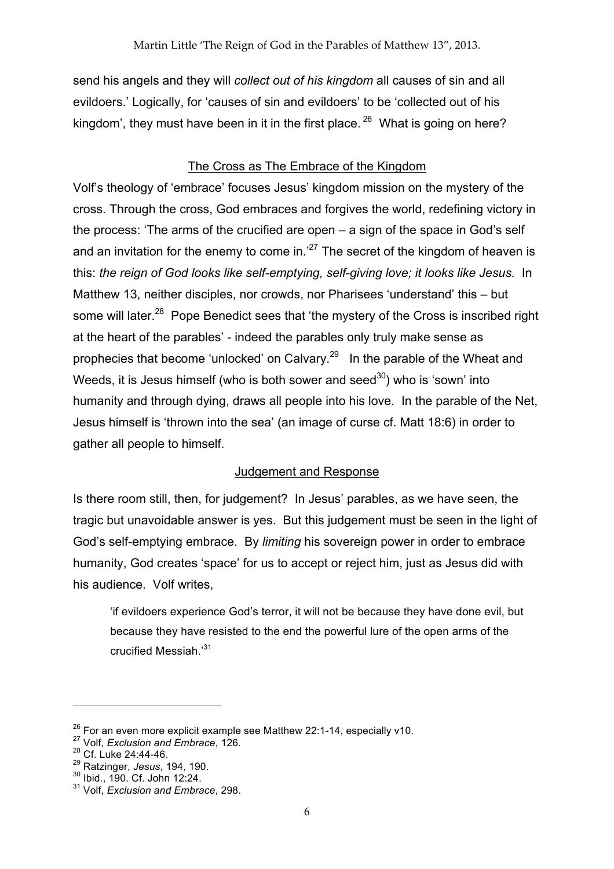send his angels and they will *collect out of his kingdom* all causes of sin and all evildoers.' Logically, for 'causes of sin and evildoers' to be 'collected out of his kingdom', they must have been in it in the first place.  $26$  What is going on here?

# The Cross as The Embrace of the Kingdom

Volf's theology of 'embrace' focuses Jesus' kingdom mission on the mystery of the cross. Through the cross, God embraces and forgives the world, redefining victory in the process: 'The arms of the crucified are open – a sign of the space in God's self and an invitation for the enemy to come in.<sup>27</sup> The secret of the kingdom of heaven is this: *the reign of God looks like self-emptying, self-giving love; it looks like Jesus.* In Matthew 13, neither disciples, nor crowds, nor Pharisees 'understand' this – but some will later.<sup>28</sup> Pope Benedict sees that 'the mystery of the Cross is inscribed right at the heart of the parables' - indeed the parables only truly make sense as prophecies that become 'unlocked' on Calvary. $^{29}$  In the parable of the Wheat and Weeds, it is Jesus himself (who is both sower and seed<sup>30</sup>) who is 'sown' into humanity and through dying, draws all people into his love. In the parable of the Net, Jesus himself is 'thrown into the sea' (an image of curse cf. Matt 18:6) in order to gather all people to himself.

# Judgement and Response

Is there room still, then, for judgement? In Jesus' parables, as we have seen, the tragic but unavoidable answer is yes. But this judgement must be seen in the light of God's self-emptying embrace. By *limiting* his sovereign power in order to embrace humanity, God creates 'space' for us to accept or reject him, just as Jesus did with his audience. Volf writes,

'if evildoers experience God's terror, it will not be because they have done evil, but because they have resisted to the end the powerful lure of the open arms of the crucified Messiah.'31

<sup>&</sup>lt;sup>26</sup> For an even more explicit example see Matthew 22:1-14, especially v10.<br><sup>27</sup> Volf, *Exclusion and Embrace*, 126.

<sup>&</sup>lt;sup>28</sup> Cf. Luke 24:44-46.

<sup>29</sup> Ratzinger, *Jesus*, 194, 190.

<sup>30</sup> Ibid., 190. Cf. John 12:24.

<sup>31</sup> Volf, *Exclusion and Embrace*, 298.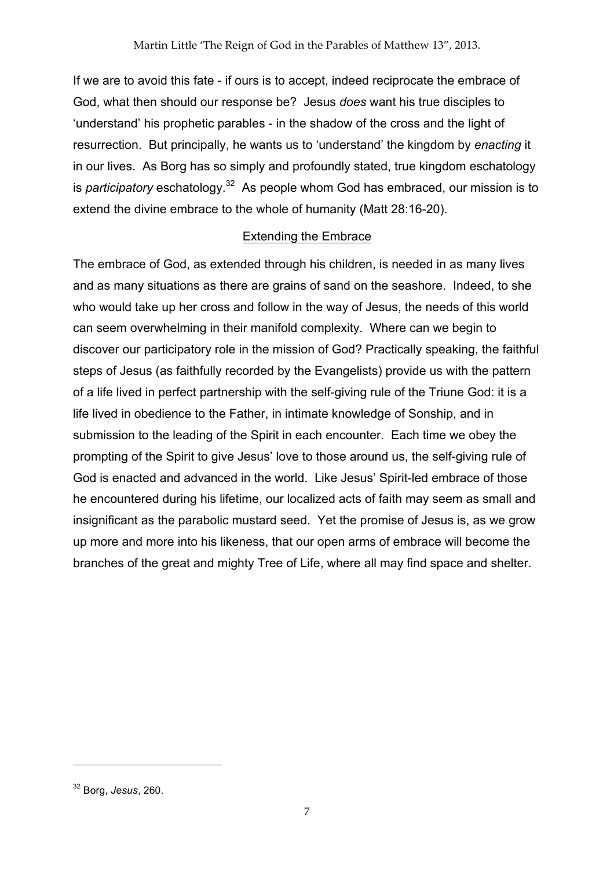If we are to avoid this fate - if ours is to accept, indeed reciprocate the embrace of God, what then should our response be? Jesus *does* want his true disciples to 'understand' his prophetic parables - in the shadow of the cross and the light of resurrection. But principally, he wants us to 'understand' the kingdom by *enacting* it in our lives. As Borg has so simply and profoundly stated, true kingdom eschatology is *participatory* eschatology.<sup>32</sup> As people whom God has embraced, our mission is to extend the divine embrace to the whole of humanity (Matt 28:16-20).

# Extending the Embrace

The embrace of God, as extended through his children, is needed in as many lives and as many situations as there are grains of sand on the seashore. Indeed, to she who would take up her cross and follow in the way of Jesus, the needs of this world can seem overwhelming in their manifold complexity. Where can we begin to discover our participatory role in the mission of God? Practically speaking, the faithful steps of Jesus (as faithfully recorded by the Evangelists) provide us with the pattern of a life lived in perfect partnership with the self-giving rule of the Triune God: it is a life lived in obedience to the Father, in intimate knowledge of Sonship, and in submission to the leading of the Spirit in each encounter. Each time we obey the prompting of the Spirit to give Jesus' love to those around us, the self-giving rule of God is enacted and advanced in the world. Like Jesus' Spirit-led embrace of those he encountered during his lifetime, our localized acts of faith may seem as small and insignificant as the parabolic mustard seed. Yet the promise of Jesus is, as we grow up more and more into his likeness, that our open arms of embrace will become the branches of the great and mighty Tree of Life, where all may find space and shelter.

<sup>32</sup> Borg, *Jesus*, 260.